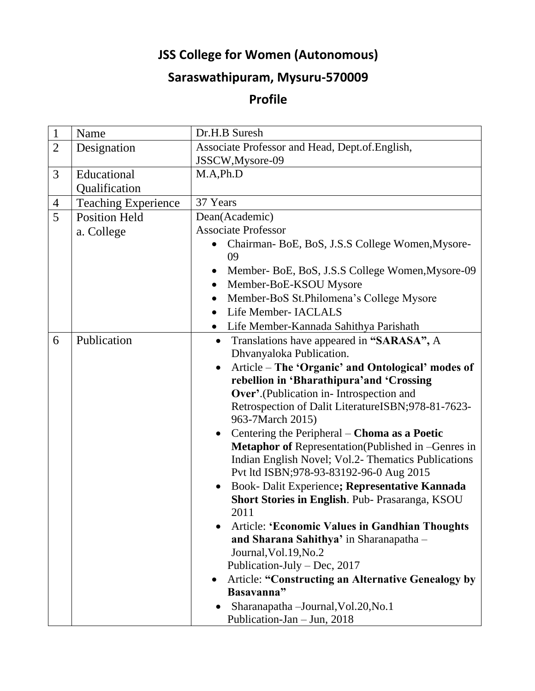## **JSS College for Women (Autonomous)**

## **Saraswathipuram, Mysuru-570009**

## **Profile**

| $\mathbf{1}$        | Name                                               | Dr.H.B Suresh                                                                        |
|---------------------|----------------------------------------------------|--------------------------------------------------------------------------------------|
| $\overline{2}$      | Designation                                        | Associate Professor and Head, Dept.of. English,                                      |
| 3                   |                                                    | JSSCW, Mysore-09<br>M.A.Ph.D                                                         |
|                     | Educational                                        |                                                                                      |
|                     | Qualification                                      | 37 Years                                                                             |
| $\overline{4}$<br>5 | <b>Teaching Experience</b><br><b>Position Held</b> | Dean(Academic)                                                                       |
|                     |                                                    | <b>Associate Professor</b>                                                           |
|                     | a. College                                         | Chairman-BoE, BoS, J.S.S College Women, Mysore-                                      |
|                     |                                                    | 09                                                                                   |
|                     |                                                    | Member-BoE, BoS, J.S.S College Women, Mysore-09                                      |
|                     |                                                    | Member-BoE-KSOU Mysore<br>$\bullet$                                                  |
|                     |                                                    | Member-BoS St.Philomena's College Mysore                                             |
|                     |                                                    | Life Member- IACLALS                                                                 |
|                     |                                                    | Life Member-Kannada Sahithya Parishath<br>$\bullet$                                  |
| 6                   | Publication                                        | Translations have appeared in "SARASA", A<br>$\bullet$                               |
|                     |                                                    | Dhvanyaloka Publication.                                                             |
|                     |                                                    | Article – The 'Organic' and Ontological' modes of<br>$\bullet$                       |
|                     |                                                    | rebellion in 'Bharathipura' and 'Crossing                                            |
|                     |                                                    | Over'.(Publication in-Introspection and                                              |
|                     |                                                    | Retrospection of Dalit LiteratureISBN;978-81-7623-<br>963-7March 2015)               |
|                     |                                                    | Centering the Peripheral – Choma as a Poetic<br>$\bullet$                            |
|                     |                                                    | Metaphor of Representation(Published in -Genres in                                   |
|                     |                                                    | Indian English Novel; Vol.2- Thematics Publications                                  |
|                     |                                                    | Pvt ltd ISBN;978-93-83192-96-0 Aug 2015                                              |
|                     |                                                    | Book- Dalit Experience; Representative Kannada<br>$\bullet$                          |
|                     |                                                    | Short Stories in English. Pub- Prasaranga, KSOU                                      |
|                     |                                                    | 2011                                                                                 |
|                     |                                                    | <b>Article: 'Economic Values in Gandhian Thoughts</b>                                |
|                     |                                                    | and Sharana Sahithya' in Sharanapatha -                                              |
|                     |                                                    | Journal, Vol. 19, No. 2                                                              |
|                     |                                                    | Publication-July – Dec, $2017$                                                       |
|                     |                                                    | <b>Article: "Constructing an Alternative Genealogy by</b><br>$\bullet$<br>Basavanna" |
|                     |                                                    | Sharanapatha - Journal, Vol. 20, No. 1                                               |
|                     |                                                    | Publication-Jan - Jun, 2018                                                          |